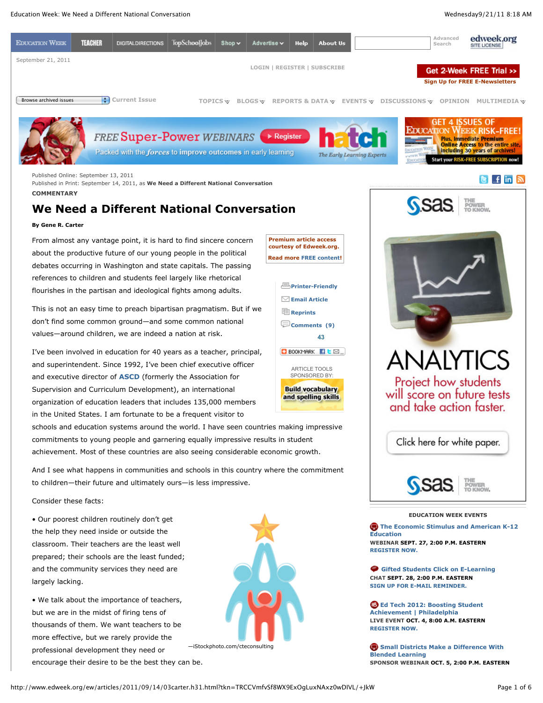

**COMMENTARY**

# **We Need a Different National Conversation**

## **By Gene R. Carter**

From almost any vantage point, it is hard to find sincere concern about the productive future of our young people in the political debates occurring in Washington and state capitals. The passing references to children and students feel largely like rhetorical flourishes in the partisan and ideological fights among adults.

This is not an easy time to preach bipartisan pragmatism. But if we don't find some common ground—and some common national values—around children, we are indeed a nation at risk.

I've been involved in education for 40 years as a teacher, principal, and superintendent. Since 1992, I've been chief executive officer and executive director of **ASCD** (formerly the Association for Supervision and Curriculum Development), an international organization of education leaders that includes 135,000 members in the United States. I am fortunate to be a frequent visitor to

schools and education systems around the world. I have seen countries making impressive commitments to young people and garnering equally impressive results in student achievement. Most of these countries are also seeing considerable economic growth.

And I see what happens in communities and schools in this country where the commitment to children—their future and ultimately ours—is less impressive.

Consider these facts:

• Our poorest children routinely don't get the help they need inside or outside the classroom. Their teachers are the least well prepared; their schools are the least funded; and the community services they need are largely lacking.

• We talk about the importance of teachers, but we are in the midst of firing tens of thousands of them. We want teachers to be more effective, but we rarely provide the professional development they need or encourage their desire to be the best they can be.

—iStockphoto.com/cteconsulting



### **EDUCATION WEEK EVENTS**

**The Economic Stimulus and American K-12 Education WEBINAR SEPT. 27, 2:00 P.M. EASTERN REGISTER NOW.**

 **Gifted Students Click on E-Learning CHAT SEPT. 28, 2:00 P.M. EASTERN SIGN UP FOR E-MAIL REMINDER.**

**B** Ed Tech 2012: Boosting Student **Achievement | Philadelphia LIVE EVENT OCT. 4, 8:00 A.M. EASTERN REGISTER NOW.**

**B** Small Districts Make a Difference With **Blended Learning SPONSOR WEBINAR OCT. 5, 2:00 P.M. EASTERN**

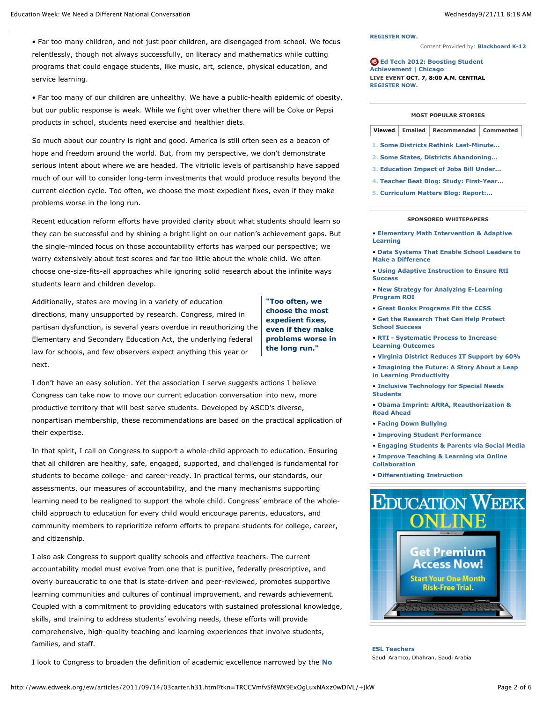• Far too many children, and not just poor children, are disengaged from school. We focus relentlessly, though not always successfully, on literacy and mathematics while cutting programs that could engage students, like music, art, science, physical education, and service learning.

• Far too many of our children are unhealthy. We have a public-health epidemic of obesity, but our public response is weak. While we fight over whether there will be Coke or Pepsi products in school, students need exercise and healthier diets.

So much about our country is right and good. America is still often seen as a beacon of hope and freedom around the world. But, from my perspective, we don't demonstrate serious intent about where we are headed. The vitriolic levels of partisanship have sapped much of our will to consider long-term investments that would produce results beyond the current election cycle. Too often, we choose the most expedient fixes, even if they make problems worse in the long run.

Recent education reform efforts have provided clarity about what students should learn so they can be successful and by shining a bright light on our nation's achievement gaps. But the single-minded focus on those accountability efforts has warped our perspective; we worry extensively about test scores and far too little about the whole child. We often choose one-size-fits-all approaches while ignoring solid research about the infinite ways students learn and children develop.

Additionally, states are moving in a variety of education directions, many unsupported by research. Congress, mired in partisan dysfunction, is several years overdue in reauthorizing the Elementary and Secondary Education Act, the underlying federal law for schools, and few observers expect anything this year or next.

**"Too often, we choose the most expedient fixes, even if they make problems worse in the long run."**

I don't have an easy solution. Yet the association I serve suggests actions I believe Congress can take now to move our current education conversation into new, more productive territory that will best serve students. Developed by ASCD's diverse, nonpartisan membership, these recommendations are based on the practical application of their expertise.

In that spirit, I call on Congress to support a whole-child approach to education. Ensuring that all children are healthy, safe, engaged, supported, and challenged is fundamental for students to become college- and career-ready. In practical terms, our standards, our assessments, our measures of accountability, and the many mechanisms supporting learning need to be realigned to support the whole child. Congress' embrace of the wholechild approach to education for every child would encourage parents, educators, and community members to reprioritize reform efforts to prepare students for college, career, and citizenship.

I also ask Congress to support quality schools and effective teachers. The current accountability model must evolve from one that is punitive, federally prescriptive, and overly bureaucratic to one that is state-driven and peer-reviewed, promotes supportive learning communities and cultures of continual improvement, and rewards achievement. Coupled with a commitment to providing educators with sustained professional knowledge, skills, and training to address students' evolving needs, these efforts will provide comprehensive, high-quality teaching and learning experiences that involve students, families, and staff.

I look to Congress to broaden the definition of academic excellence narrowed by the **No**

#### **REGISTER NOW.**

Content Provided by: **Blackboard K-12**

 **Ed Tech 2012: Boosting Student Achievement | Chicago LIVE EVENT OCT. 7, 8:00 A.M. CENTRAL REGISTER NOW.**

#### **MOST POPULAR STORIES**

| Viewed   Emailed   Recommended   Commented |
|--------------------------------------------|
|--------------------------------------------|

- **1. Some Districts Rethink Last-Minute...**
- **2. Some States, Districts Abandoning...**
- **3. Education Impact of Jobs Bill Under...**
- **4. Teacher Beat Blog: Study: First-Year...**
- **5. Curriculum Matters Blog: Report:...**

## **SPONSORED WHITEPAPERS**

- **Elementary Math Intervention & Adaptive Learning**
- **Data Systems That Enable School Leaders to Make a Difference**
- **Using Adaptive Instruction to Ensure RtI Success**
- **New Strategy for Analyzing E-Learning Program ROI**
- **Great Books Programs Fit the CCSS**
- **Get the Research That Can Help Protect School Success**
- **RTI Systematic Process to Increase Learning Outcomes**
- **Virginia District Reduces IT Support by 60%**
- **Imagining the Future: A Story About a Leap**
- **in Learning Productivity**
- **Inclusive Technology for Special Needs Students**
- **Obama Imprint: ARRA, Reauthorization & Road Ahead**
- **Facing Down Bullying**
- **Improving Student Performance**
- **Engaging Students & Parents via Social Media**
- **Improve Teaching & Learning via Online Collaboration**
- **Differentiating Instruction**



**ESL Teachers** Saudi Aramco, Dhahran, Saudi Arabia